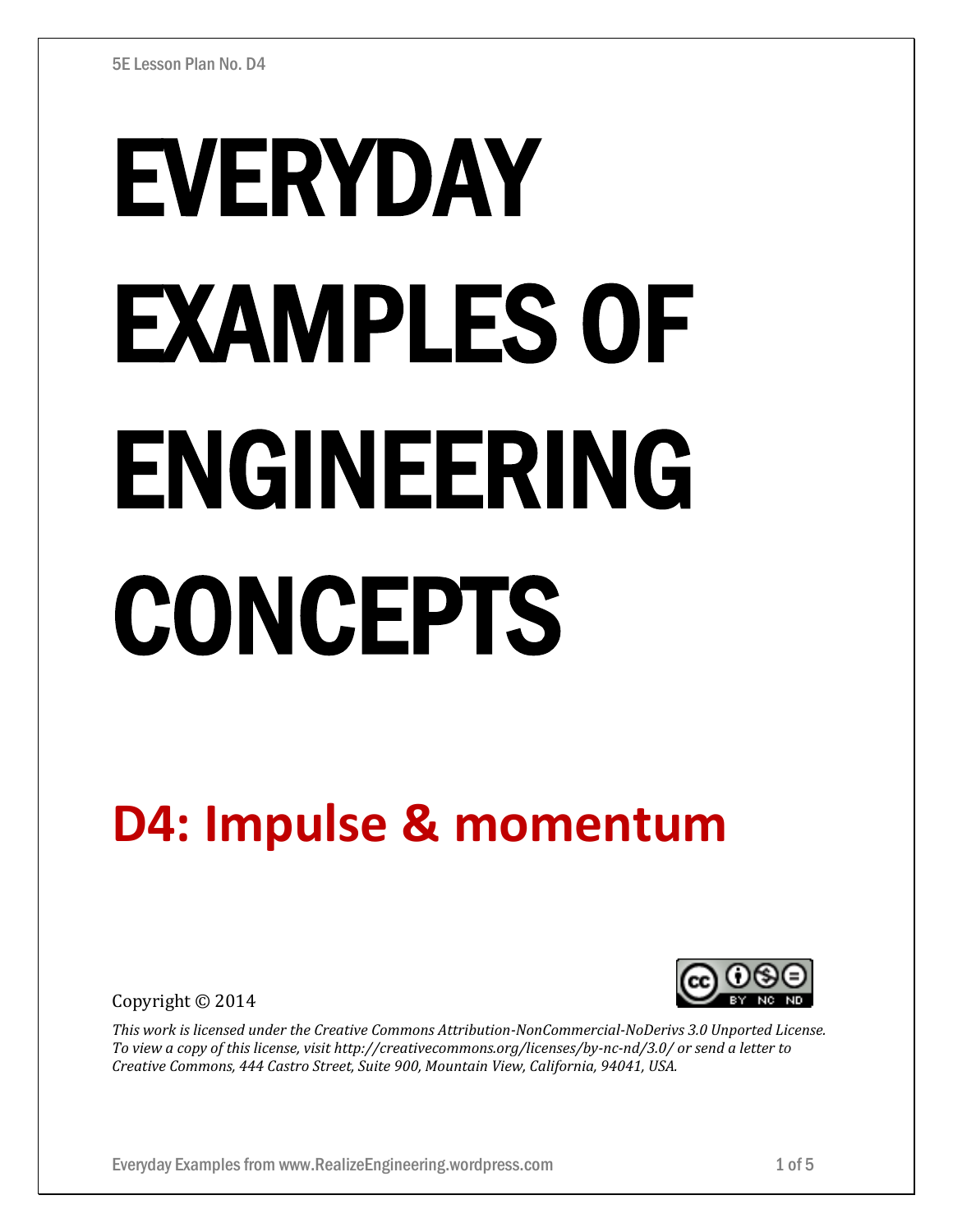# EVERYDAY EXAMPLES OF ENGINEERING **CONCEPTS**

## **D4: Impulse & momentum**

Copyright © 2014



*This work is licensed under the Creative Commons Attribution-NonCommercial-NoDerivs 3.0 Unported License. To view a copy of this license, visit http://creativecommons.org/licenses/by-nc-nd/3.0/ or send a letter to Creative Commons, 444 Castro Street, Suite 900, Mountain View, California, 94041, USA.*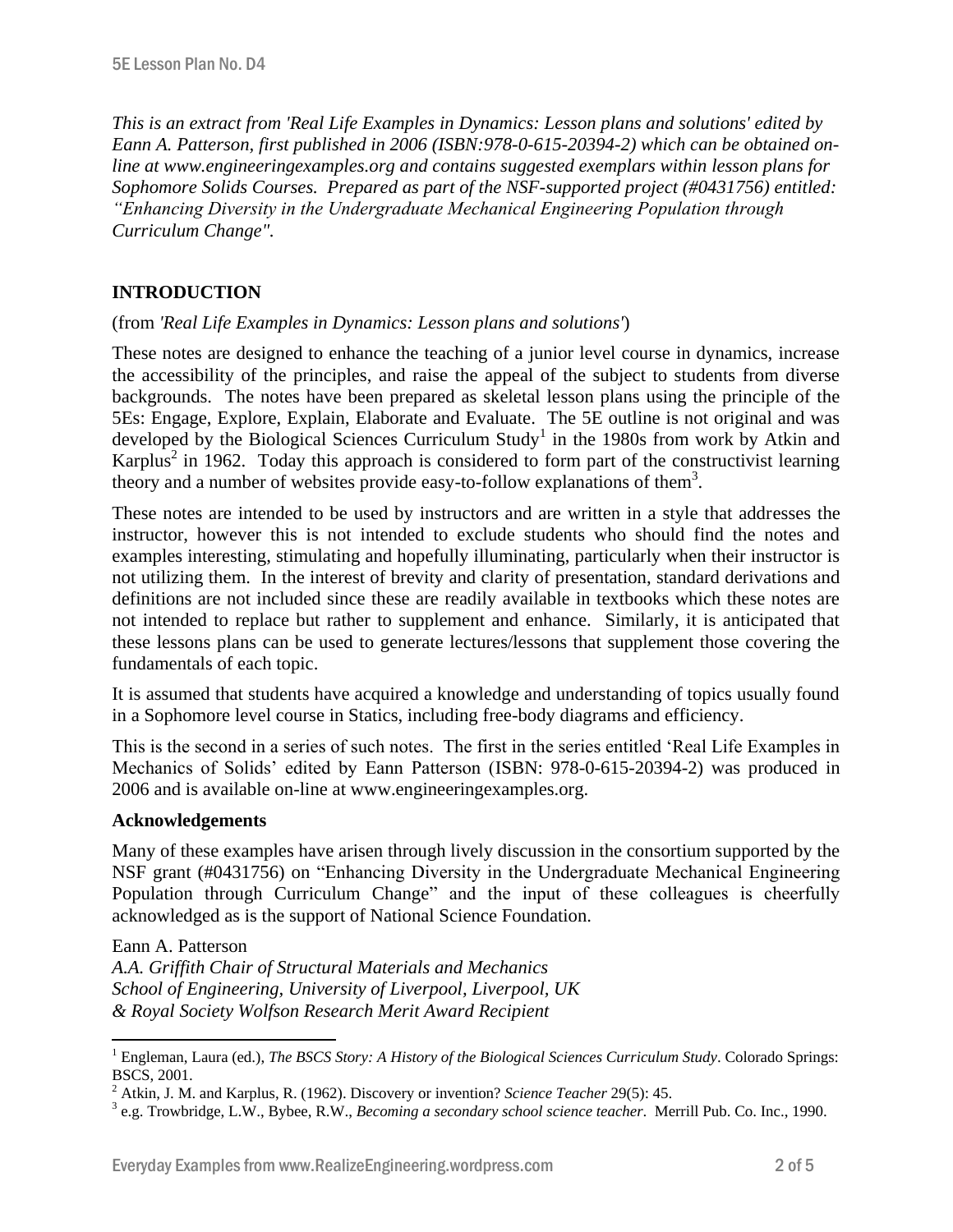*This is an extract from 'Real Life Examples in Dynamics: Lesson plans and solutions' edited by Eann A. Patterson, first published in 2006 (ISBN:978-0-615-20394-2) which can be obtained online at www.engineeringexamples.org and contains suggested exemplars within lesson plans for Sophomore Solids Courses. Prepared as part of the NSF-supported project (#0431756) entitled: "Enhancing Diversity in the Undergraduate Mechanical Engineering Population through Curriculum Change".* 

### **INTRODUCTION**

#### (from *'Real Life Examples in Dynamics: Lesson plans and solutions'*)

These notes are designed to enhance the teaching of a junior level course in dynamics, increase the accessibility of the principles, and raise the appeal of the subject to students from diverse backgrounds. The notes have been prepared as skeletal lesson plans using the principle of the 5Es: Engage, Explore, Explain, Elaborate and Evaluate. The 5E outline is not original and was developed by the Biological Sciences Curriculum Study<sup>1</sup> in the 1980s from work by Atkin and Karplus<sup>2</sup> in 1962. Today this approach is considered to form part of the constructivist learning theory and a number of websites provide easy-to-follow explanations of them<sup>3</sup>.

These notes are intended to be used by instructors and are written in a style that addresses the instructor, however this is not intended to exclude students who should find the notes and examples interesting, stimulating and hopefully illuminating, particularly when their instructor is not utilizing them. In the interest of brevity and clarity of presentation, standard derivations and definitions are not included since these are readily available in textbooks which these notes are not intended to replace but rather to supplement and enhance. Similarly, it is anticipated that these lessons plans can be used to generate lectures/lessons that supplement those covering the fundamentals of each topic.

It is assumed that students have acquired a knowledge and understanding of topics usually found in a Sophomore level course in Statics, including free-body diagrams and efficiency.

This is the second in a series of such notes. The first in the series entitled 'Real Life Examples in Mechanics of Solids' edited by Eann Patterson (ISBN: 978-0-615-20394-2) was produced in 2006 and is available on-line at www.engineeringexamples.org.

#### **Acknowledgements**

 $\overline{a}$ 

Many of these examples have arisen through lively discussion in the consortium supported by the NSF grant (#0431756) on "Enhancing Diversity in the Undergraduate Mechanical Engineering Population through Curriculum Change" and the input of these colleagues is cheerfully acknowledged as is the support of National Science Foundation.

Eann A. Patterson *A.A. Griffith Chair of Structural Materials and Mechanics School of Engineering, University of Liverpool, Liverpool, UK & Royal Society Wolfson Research Merit Award Recipient*

<sup>1</sup> Engleman, Laura (ed.), *The BSCS Story: A History of the Biological Sciences Curriculum Study*. Colorado Springs: BSCS, 2001.

<sup>2</sup> Atkin, J. M. and Karplus, R. (1962). Discovery or invention? *Science Teacher* 29(5): 45.

<sup>3</sup> e.g. Trowbridge, L.W., Bybee, R.W., *Becoming a secondary school science teacher*. Merrill Pub. Co. Inc., 1990.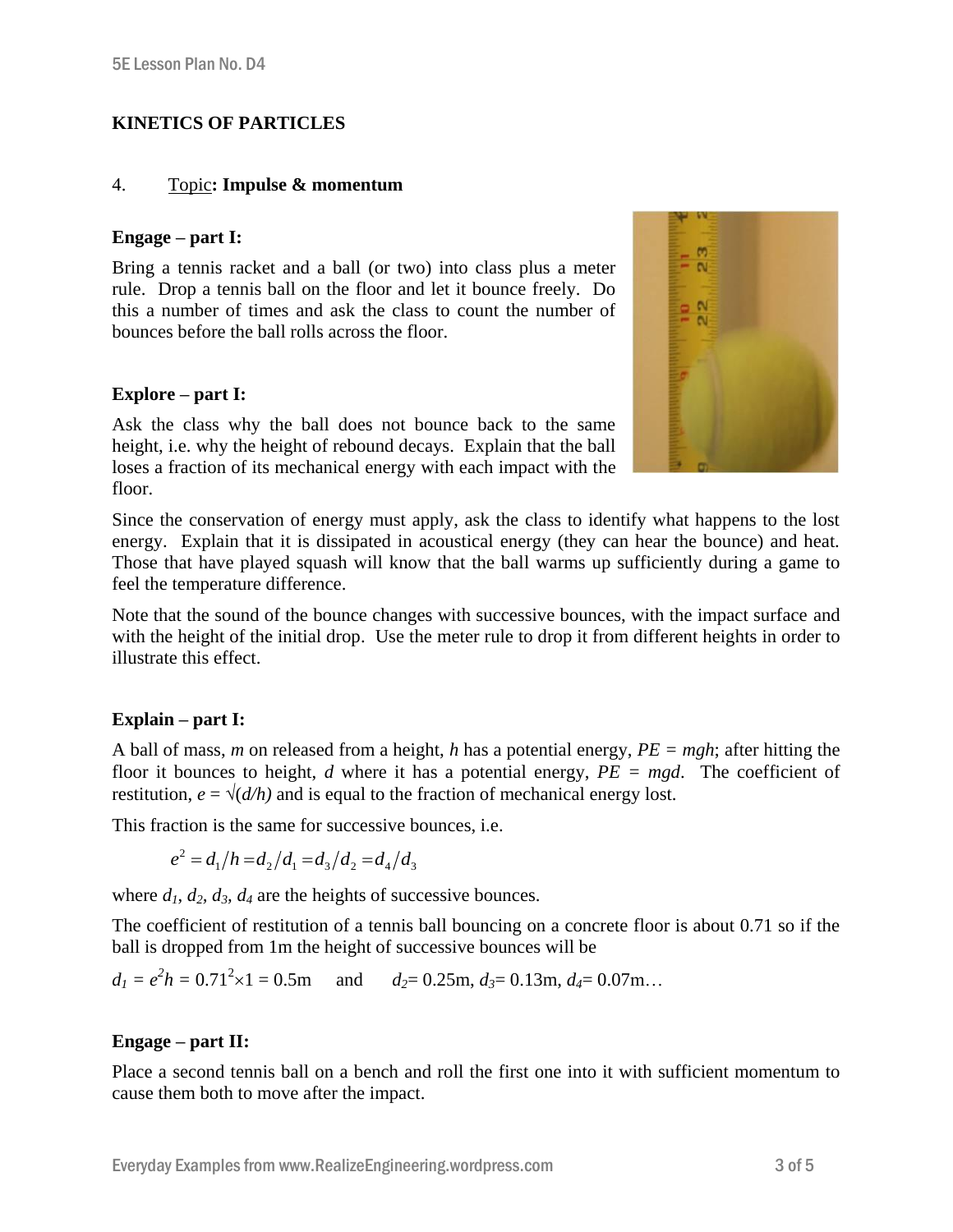#### **KINETICS OF PARTICLES**

#### 4. Topic**: Impulse & momentum**

#### **Engage – part I:**

Bring a tennis racket and a ball (or two) into class plus a meter rule. Drop a tennis ball on the floor and let it bounce freely. Do this a number of times and ask the class to count the number of bounces before the ball rolls across the floor.

#### **Explore** – **part I:**

Ask the class why the ball does not bounce back to the same height, i.e. why the height of rebound decays. Explain that the ball loses a fraction of its mechanical energy with each impact with the floor.



Since the conservation of energy must apply, ask the class to identify what happens to the lost energy. Explain that it is dissipated in acoustical energy (they can hear the bounce) and heat. Those that have played squash will know that the ball warms up sufficiently during a game to feel the temperature difference.

Note that the sound of the bounce changes with successive bounces, with the impact surface and with the height of the initial drop. Use the meter rule to drop it from different heights in order to illustrate this effect.

#### **Explain – part I:**

A ball of mass, *m* on released from a height, *h* has a potential energy, *PE = mgh*; after hitting the floor it bounces to height, *d* where it has a potential energy,  $PE = mgd$ . The coefficient of restitution,  $e = \sqrt{d/h}$  and is equal to the fraction of mechanical energy lost.

This fraction is the same for successive bounces, i.e.

$$
e^2 = d_1/h = d_2/d_1 = d_3/d_2 = d_4/d_3
$$

where  $d_1, d_2, d_3, d_4$  are the heights of successive bounces.

The coefficient of restitution of a tennis ball bouncing on a concrete floor is about 0.71 so if the ball is dropped from 1m the height of successive bounces will be

$$
d_1 = e^2 h = 0.71^2 \times 1 = 0.5 \text{m}
$$
 and  $d_2 = 0.25 \text{m}, d_3 = 0.13 \text{m}, d_4 = 0.07 \text{m}...$ 

#### **Engage – part II:**

Place a second tennis ball on a bench and roll the first one into it with sufficient momentum to cause them both to move after the impact.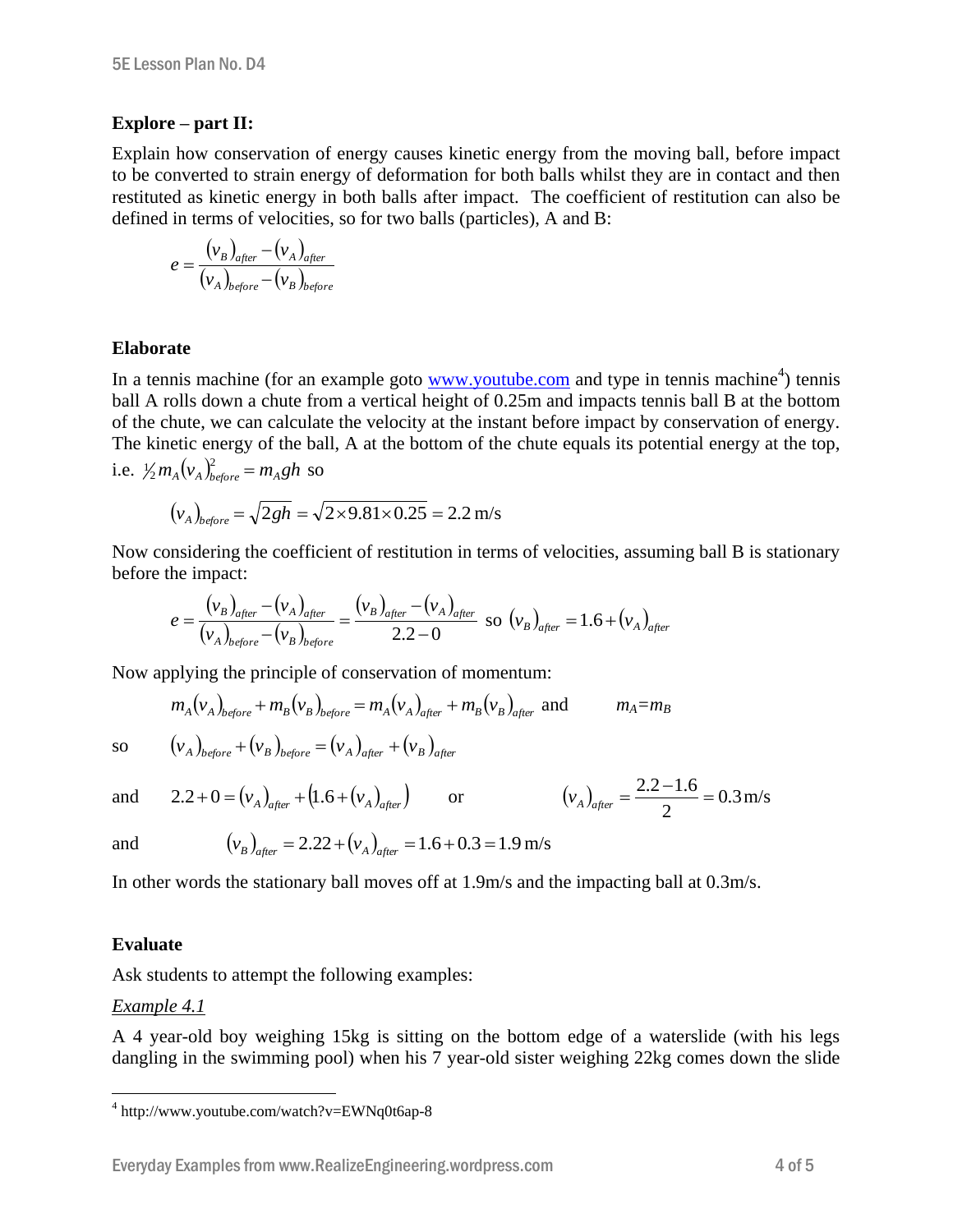#### **Explore – part II:**

Explain how conservation of energy causes kinetic energy from the moving ball, before impact to be converted to strain energy of deformation for both balls whilst they are in contact and then restituted as kinetic energy in both balls after impact. The coefficient of restitution can also be defined in terms of velocities, so for two balls (particles), A and B:

$$
e = \frac{(v_B)_{after} - (v_A)_{after}}{(v_A)_{before} - (v_B)_{before}}
$$

#### **Elaborate**

In a tennis machine (for an example goto [www.youtube.com](http://www.youtube.com/) and type in tennis machine<sup>4</sup>) tennis ball A rolls down a chute from a vertical height of 0.25m and impacts tennis ball B at the bottom of the chute, we can calculate the velocity at the instant before impact by conservation of energy. The kinetic energy of the ball, A at the bottom of the chute equals its potential energy at the top, i.e.  $\frac{1}{2} m_A (v_A)_{before}^2 = m_A gh$  $\frac{1}{2}m_A(v_A)_{before}^2 = m_A gh$  so

$$
(v_A)_{before} = \sqrt{2gh} = \sqrt{2 \times 9.81 \times 0.25} = 2.2
$$
 m/s

Now considering the coefficient of restitution in terms of velocities, assuming ball B is stationary before the impact:

$$
e = \frac{(\mathbf{v}_B)_{after} - (\mathbf{v}_A)_{after}}{(\mathbf{v}_A)_{before} - (\mathbf{v}_B)_{before}} = \frac{(\mathbf{v}_B)_{after} - (\mathbf{v}_A)_{after}}{2.2 - 0}
$$
 so  $(\mathbf{v}_B)_{after} = 1.6 + (\mathbf{v}_A)_{after}$ 

Now applying the principle of conservation of momentum:

$$
m_A(\mathbf{v}_A)_{before} + m_B(\mathbf{v}_B)_{before} = m_A(\mathbf{v}_A)_{after} + m_B(\mathbf{v}_B)_{after}
$$
 and 
$$
m_A = m_B
$$

so 
$$
(v_A)_{before} + (v_B)_{before} = (v_A)_{after} + (v_B)_{after}
$$

and 
$$
2.2 + 0 = (v_A)_{after} + (1.6 + (v_A)_{after})
$$
 or  $(v_A)_{after} = \frac{2.2 - 1.6}{2} = 0.3$  m/s

and

$$
(v_B)_{after}
$$
 = 2.22 +  $(v_A)_{after}$  = 1.6 + 0.3 = 1.9 m/s

In other words the stationary ball moves off at 1.9m/s and the impacting ball at 0.3m/s.

#### **Evaluate**

Ask students to attempt the following examples:

#### *Example 4.1*

A 4 year-old boy weighing 15kg is sitting on the bottom edge of a waterslide (with his legs dangling in the swimming pool) when his 7 year-old sister weighing 22kg comes down the slide

 $\overline{a}$ 4 http://www.youtube.com/watch?v=EWNq0t6ap-8